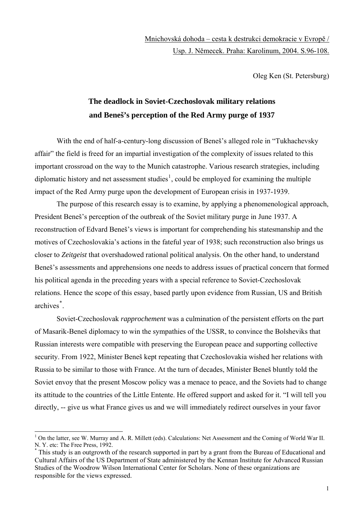## Mnichovská dohoda – cesta k destrukci demokracie v Evropě / Usp. J. Němecek. Praha: Karolinum, 2004. S.96-108.

Oleg Ken (St. Petersburg)

## **The deadlock in Soviet-Czechoslovak military relations and Beneš's perception of the Red Army purge of 1937**

With the end of half-a-century-long discussion of Beneš's alleged role in "Tukhachevsky affair" the field is freed for an impartial investigation of the complexity of issues related to this important crossroad on the way to the Munich catastrophe. Various research strategies, including diplomatic history and net assessment studies<sup>[1](#page-0-0)</sup>, could be employed for examining the multiple impact of the Red Army purge upon the development of European crisis in 1937-1939.

The purpose of this research essay is to examine, by applying a phenomenological approach, President Beneš's perception of the outbreak of the Soviet military purge in June 1937. A reconstruction of Edvard Beneš's views is important for comprehending his statesmanship and the motives of Czechoslovakia's actions in the fateful year of 1938; such reconstruction also brings us closer to *Zeitgeist* that overshadowed rational political analysis. On the other hand, to understand Beneš's assessments and apprehensions one needs to address issues of practical concern that formed his political agenda in the preceding years with a special reference to Soviet-Czechoslovak relations. Hence the scope of this essay, based partly upon evidence from Russian, US and British archives[\\*](#page-0-1) .

Soviet-Czechoslovak *rapprochement* was a culmination of the persistent efforts on the part of Masarik-Beneš diplomacy to win the sympathies of the USSR, to convince the Bolsheviks that Russian interests were compatible with preserving the European peace and supporting collective security. From 1922, Minister Beneš kept repeating that Czechoslovakia wished her relations with Russia to be similar to those with France. At the turn of decades, Minister Beneš bluntly told the Soviet envoy that the present Moscow policy was a menace to peace, and the Soviets had to change its attitude to the countries of the Little Entente. He offered support and asked for it. "I will tell you directly, -- give us what France gives us and we will immediately redirect ourselves in your favor

<span id="page-0-0"></span> $1$  On the latter, see W. Murray and A. R. Millett (eds). Calculations: Net Assessment and the Coming of World War II. N. Y. etc: The Free Press, 1992.

<span id="page-0-1"></span><sup>\*</sup> This study is an outgrowth of the research supported in part by a grant from the Bureau of Educational and Cultural Affairs of the US Department of State administered by the Kennan Institute for Advanced Russian Studies of the Woodrow Wilson International Center for Scholars. None of these organizations are responsible for the views expressed.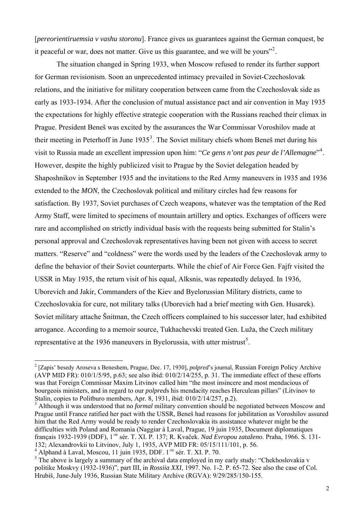[*pereorientiruemsia v vashu storonu*]. France gives us guarantees against the German conquest, be it peaceful or war, does not matter. Give us this guarantee, and we will be yours"<sup>[2](#page-1-0)</sup>.

The situation changed in Spring 1933, when Moscow refused to render its further support for German revisionism. Soon an unprecedented intimacy prevailed in Soviet-Czechoslovak relations, and the initiative for military cooperation between came from the Czechoslovak side as early as 1933-1934. After the conclusion of mutual assistance pact and air convention in May 1935 the expectations for highly effective strategic cooperation with the Russians reached their climax in Prague. President Beneš was excited by the assurances the War Commissar Voroshilov made at their meeting in Peterhoff in June  $1935<sup>3</sup>$  $1935<sup>3</sup>$  $1935<sup>3</sup>$ . The Soviet military chiefs whom Beneš met during his visit to Russia made an excellent impression upon him: "*Ce gens n'ont pas peur de l'Allemagne*"[4](#page-1-2) . However, despite the highly publicized visit to Prague by the Soviet delegation headed by Shaposhnikov in September 1935 and the invitations to the Red Army maneuvers in 1935 and 1936 extended to the *MON*, the Czechoslovak political and military circles had few reasons for satisfaction. By 1937, Soviet purchases of Czech weapons, whatever was the temptation of the Red Army Staff, were limited to specimens of mountain artillery and optics. Exchanges of officers were rare and accomplished on strictly individual basis with the requests being submitted for Stalin's personal approval and Czechoslovak representatives having been not given with access to secret matters. "Reserve" and "coldness" were the words used by the leaders of the Czechoslovak army to define the behavior of their Soviet counterparts. While the chief of Air Force Gen. Fajfr visited the USSR in May 1935, the return visit of his equal, Alksnis, was repeatedly delayed. In 1936, Uborevich and Jakir, Commanders of the Kiev and Byelorussian Military districts, came to Czechoslovakia for cure, not military talks (Uborevich had a brief meeting with Gen. Husarek). Soviet military attache Šnitman, the Czech officers complained to his successor later, had exhibited arrogance. According to a memoir source, Tukhachevski treated Gen. Luža, the Czech military representative at the 1936 maneuvers in Byelorussia, with utter mistrust<sup>[5](#page-1-3)</sup>.

<span id="page-1-0"></span><sup>2</sup> [Zapis' besedy Aroseva s Beneshem, Prague, Dec. 17, 1930], *polpred*'s journal, Russian Foreign Policy Archive (AVP MID FR): 010/1/5/95, p.63; see also ibid: 010/2/14/255, p. 31. The immediate effect of these efforts was that Foreign Commissar Maxim Litvinov called him "the most insincere and most mendacious of bourgeois ministers, and in regard to our *polpred*s his mendacity reaches Herculean pillars" (Litvinov to Stalin, copies to Politburo members, Apr. 8, 1931, ibid: 010/2/14/257, p.2).

<span id="page-1-1"></span><sup>&</sup>lt;sup>3</sup> Although it was understood that no *formal* military convention should be negotiated between Moscow and Prague until France ratified her pact with the USSR, Beneš had reasons for jubilitation as Voroshilov assured him that the Red Army would be ready to render Czechoslovakia its assistance whatever might be the difficulties with Poland and Romania (Naggiar à Laval, Prague, 19 juin 1935, Document diplomatiques français 1932-1939 (DDF), 1-re sér. T. XI. P. 137; R. Kvaček. *Nad Evropou zataženo*. Praha, 1966. S. 131- 132; Alexandrovkii to Litvinov, July 1, 1935, AVP MID FR: 05/15/111/101, p. 56.

<span id="page-1-2"></span><sup>&</sup>lt;sup>4</sup> Alphand à Laval, Moscou, 11 juin 1935, DDF. 1<sup>-re</sup> sér. T. XI. P. 70.

<span id="page-1-3"></span> $<sup>5</sup>$  The above is largely a summary of the archival data employed in my early study: "Chekhoslovakia v</sup> politike Moskvy (1932-1936)", part III, in *Rossiia XXI*, 1997. No. 1-2. P. 65-72. See also the case of Col. Hrubiš, June-July 1936, Russian State Military Archive (RGVA): 9/29/285/150-155.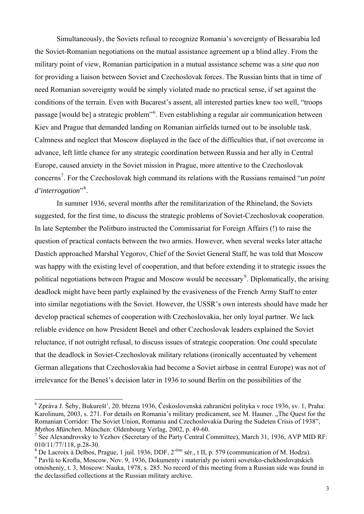Simultaneously, the Soviets refusal to recognize Romania's sovereignty of Bessarabia led the Soviet-Romanian negotiations on the mutual assistance agreement up a blind alley. From the military point of view, Romanian participation in a mutual assistance scheme was a *sine qua non* for providing a liaison between Soviet and Czechoslovak forces. The Russian hints that in time of need Romanian sovereignty would be simply violated made no practical sense, if set against the conditions of the terrain. Even with Bucarest's assent, all interested parties knew too well, "troops passage [would be] a strategic problem<sup>3[6](#page-2-0)</sup>. Even establishing a regular air communication between Kiev and Prague that demanded landing on Romanian airfields turned out to be insoluble task. Calmness and neglect that Moscow displayed in the face of the difficulties that, if not overcome in advance, left little chance for any strategic coordination between Russia and her ally in Central Europe, caused anxiety in the Soviet mission in Prague, more attentive to the Czechoslovak concerns<sup>[7](#page-2-1)</sup>. For the Czechoslovak high command its relations with the Russians remained "*un point d'interrogation*"[8](#page-2-2) .

In summer 1936, several months after the remilitarization of the Rhineland, the Soviets suggested, for the first time, to discuss the strategic problems of Soviet-Czechoslovak cooperation. In late September the Politburo instructed the Commissariat for Foreign Affairs (!) to raise the question of practical contacts between the two armies. However, when several weeks later attache Dastich approached Marshal Yegorov, Chief of the Soviet General Staff, he was told that Moscow was happy with the existing level of cooperation, and that before extending it to strategic issues the political negotiations between Prague and Moscow would be necessary<sup>[9](#page-2-3)</sup>. Diplomatically, the arising deadlock might have been partly explained by the evasiveness of the French Army Staff to enter into similar negotiations with the Soviet. However, the USSR's own interests should have made her develop practical schemes of cooperation with Czechoslovakia, her only loyal partner. We lack reliable evidence on how President Beneš and other Czechoslovak leaders explained the Soviet reluctance, if not outright refusal, to discuss issues of strategic cooperation. One could speculate that the deadlock in Soviet-Czechoslovak military relations (ironically accentuated by vehement German allegations that Czechoslovakia had become a Soviet airbase in central Europe) was not of irrelevance for the Beneš's decision later in 1936 to sound Berlin on the possibilities of the

<span id="page-2-0"></span> 6 Zpráva J. Šeby, Bukurešt', 20. března 1936, Československá zahraniční polityka v roce 1936, sv. 1, Praha: Karolinum, 2003, s. 271. For details on Romania's military predicament, see M. Hauner. "The Quest for the Romanian Corridor: The Soviet Union, Romania and Czechoslovakia During the Sudeten Crisis of 1938", *Mythos München.* München: Oldenbourg Verlag, 2002, p. 49-60.

<span id="page-2-1"></span><sup>7</sup> See Alexandrovsky to Yezhov (Secretary of the Party Central Committee), March 31, 1936, AVP MID RF: 010/11/77/118, p.28-30.

<sup>&</sup>lt;sup>8</sup> De Lacroix à Delbos, Prague, 1 juil. 1936, DDF, 2<sup>-éme</sup> sér., t II, p. 579 (communication of M. Hodza).

<span id="page-2-3"></span><span id="page-2-2"></span><sup>9</sup> Pavlů to Krofta, Moscow, Nov. 9, 1936, Dokumenty i materialy po istorii sovetsko-chekhoslovatskich otnosheniy, t. 3, Moscow: Nauka, 1978, s. 285. No record of this meeting from a Russian side was found in the declassified collections at the Russian military archive.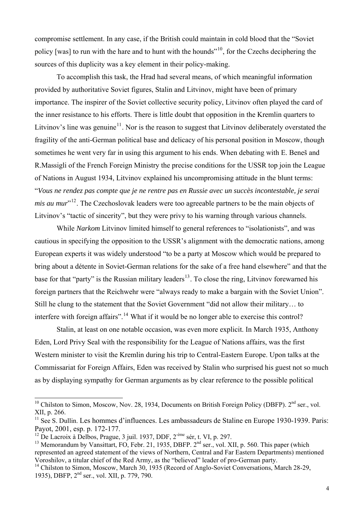compromise settlement. In any case, if the British could maintain in cold blood that the "Soviet policy [was] to run with the hare and to hunt with the hounds"<sup>[10](#page-3-0)</sup>, for the Czechs deciphering the sources of this duplicity was a key element in their policy-making.

To accomplish this task, the Hrad had several means, of which meaningful information provided by authoritative Soviet figures, Stalin and Litvinov, might have been of primary importance. The inspirer of the Soviet collective security policy, Litvinov often played the card of the inner resistance to his efforts. There is little doubt that opposition in the Kremlin quarters to Litvinov's line was genuine<sup>[11](#page-3-1)</sup>. Nor is the reason to suggest that Litvinov deliberately overstated the fragility of the anti-German political base and delicacy of his personal position in Moscow, though sometimes he went very far in using this argument to his ends. When debating with E. Beneš and R.Massigli of the French Foreign Ministry the precise conditions for the USSR top join the League of Nations in August 1934, Litvinov explained his uncompromising attitude in the blunt terms: "*Vous ne rendez pas compte que je ne rentre pas en Russie avec un succès incontestable, je serai mis au mur*<sup>"[12](#page-3-2)</sup>. The Czechoslovak leaders were too agreeable partners to be the main objects of Litvinov's "tactic of sincerity", but they were privy to his warning through various channels.

While *Narkom* Litvinov limited himself to general references to "isolationists", and was cautious in specifying the opposition to the USSR's alignment with the democratic nations, among European experts it was widely understood "to be a party at Moscow which would be prepared to bring about a détente in Soviet-German relations for the sake of a free hand elsewhere" and that the base for that "party" is the Russian military leaders<sup>[13](#page-3-3)</sup>. To close the ring, Litvinov forewarned his foreign partners that the Reichwehr were "always ready to make a bargain with the Soviet Union". Still he clung to the statement that the Soviet Government "did not allow their military… to interfere with foreign affairs".<sup>[14](#page-3-4)</sup> What if it would be no longer able to exercise this control?

Stalin, at least on one notable occasion, was even more explicit. In March 1935, Anthony Eden, Lord Privy Seal with the responsibility for the League of Nations affairs, was the first Western minister to visit the Kremlin during his trip to Central-Eastern Europe. Upon talks at the Commissariat for Foreign Affairs, Eden was received by Stalin who surprised his guest not so much as by displaying sympathy for German arguments as by clear reference to the possible political

<span id="page-3-0"></span><sup>&</sup>lt;sup>10</sup> Chilston to Simon, Moscow, Nov. 28, 1934, Documents on British Foreign Policy (DBFP).  $2<sup>nd</sup>$  ser., vol. XII, p. 266.

<span id="page-3-1"></span><sup>&</sup>lt;sup>11</sup> See S. Dullin. Les hommes d'influences. Les ambassadeurs de Staline en Europe 1930-1939. Paris: Payot, 2001, esp. p. 172-177.

<span id="page-3-2"></span><sup>&</sup>lt;sup>12</sup> De Lacroix à Delbos, Prague, 3 juil. 1937, DDF,  $2^{\text{6me}}$  sér, t. VI, p. 297.

<span id="page-3-3"></span><sup>&</sup>lt;sup>13</sup> Memorandum by Vansittart, FO, Febr. 21, 1935, DBFP.  $2^{nd}$  ser., vol. XII, p. 560. This paper (which represented an agreed statement of the views of Northern, Central and Far Eastern Departments) mentioned Voroshilov, a titular chief of the Red Army, as the "believed" leader of pro-German party.

<span id="page-3-4"></span><sup>&</sup>lt;sup>14</sup> Chilston to Simon, Moscow, March 30, 1935 (Record of Anglo-Soviet Conversations, March 28-29, 1935), DBFP, 2nd ser., vol. XII, p. 779, 790.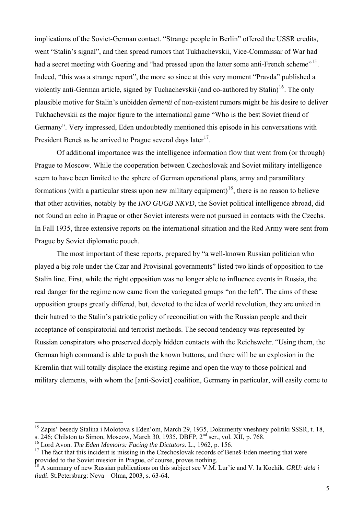implications of the Soviet-German contact. "Strange people in Berlin" offered the USSR credits, went "Stalin's signal", and then spread rumors that Tukhachevskii, Vice-Commissar of War had had a secret meeting with Goering and "had pressed upon the latter some anti-French scheme"<sup>[15](#page-4-0)</sup>. Indeed, "this was a strange report", the more so since at this very moment "Pravda" published a violently anti-German article, signed by Tuchachevskii (and co-authored by Stalin)<sup>[16](#page-4-1)</sup>. The only plausible motive for Stalin's unbidden *dementi* of non-existent rumors might be his desire to deliver Tukhachevskii as the major figure to the international game "Who is the best Soviet friend of Germany". Very impressed, Eden undoubtedly mentioned this episode in his conversations with President Beneš as he arrived to Prague several days later<sup>[17](#page-4-2)</sup>.

Of additional importance was the intelligence information flow that went from (or through) Prague to Moscow. While the cooperation between Czechoslovak and Soviet military intelligence seem to have been limited to the sphere of German operational plans, army and paramilitary formations (with a particular stress upon new military equipment)<sup>[18](#page-4-3)</sup>, there is no reason to believe that other activities, notably by the *INO GUGB NKVD*, the Soviet political intelligence abroad, did not found an echo in Prague or other Soviet interests were not pursued in contacts with the Czechs. In Fall 1935, three extensive reports on the international situation and the Red Army were sent from Prague by Soviet diplomatic pouch.

The most important of these reports, prepared by "a well-known Russian politician who played a big role under the Czar and Provisinal governments" listed two kinds of opposition to the Stalin line. First, while the right opposition was no longer able to influence events in Russia, the real danger for the regime now came from the variegated groups "on the left". The aims of these opposition groups greatly differed, but, devoted to the idea of world revolution, they are united in their hatred to the Stalin's patriotic policy of reconciliation with the Russian people and their acceptance of conspiratorial and terrorist methods. The second tendency was represented by Russian conspirators who preserved deeply hidden contacts with the Reichswehr. "Using them, the German high command is able to push the known buttons, and there will be an explosion in the Kremlin that will totally displace the existing regime and open the way to those political and military elements, with whom the [anti-Soviet] coalition, Germany in particular, will easily come to

<span id="page-4-0"></span><sup>&</sup>lt;sup>15</sup> Zapis' besedy Stalina i Molotova s Eden'om, March 29, 1935, Dokumenty vneshney politiki SSSR, t. 18, s. 246; Chilston to Simon, Moscow, March 30, 1935, DBFP, 2<sup>nd</sup> ser., vol. XII, p. 768.

<span id="page-4-1"></span><sup>16</sup> Lord Avon. *The Eden Memoirs: Facing the Dictators*. L., 1962, p. 156.

<span id="page-4-2"></span> $17$  The fact that this incident is missing in the Czechoslovak records of Beneš-Eden meeting that were provided to the Soviet mission in Prague, of course, proves nothing.

<span id="page-4-3"></span><sup>18</sup> A summary of new Russian publications on this subject see V.M. Lur'ie and V. Ia Kochik. *GRU: dela i liudi*. St.Petersburg: Neva – Olma, 2003, s. 63-64.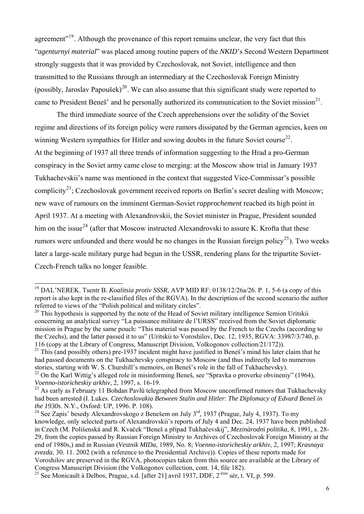agreement"<sup>[19](#page-5-0)</sup>. Although the provenance of this report remains unclear, the very fact that this "*agenturnyi material*" was placed among routine papers of the *NKID*'s Second Western Department strongly suggests that it was provided by Czechoslovak, not Soviet, intelligence and then transmitted to the Russians through an intermediary at the Czechoslovak Foreign Ministry (possibly, Jaroslav Papoušek)<sup>[20](#page-5-1)</sup>. We can also assume that this significant study were reported to came to President Beneš' and he personally authorized its communication to the Soviet mission<sup>[21](#page-5-2)</sup>.

The third immediate source of the Czech apprehensions over the solidity of the Soviet regime and directions of its foreign policy were rumors dissipated by the German agencies, keen on winning Western sympathies for Hitler and sowing doubts in the future Soviet course<sup>[22](#page-5-3)</sup>. At the beginning of 1937 all three trends of information suggesting to the Hrad a pro-German conspiracy in the Soviet army came close to merging: at the Moscow show trial in January 1937 Tukhachevskii's name was mentioned in the context that suggested Vice-Commissar's possible complicity<sup>[23](#page-5-4)</sup>; Czechoslovak government received reports on Berlin's secret dealing with Moscow; new wave of rumours on the imminent German-Soviet *rapprochement* reached its high point in April 1937. At a meeting with Alexandrovskii, the Soviet minister in Prague, President sounded him on the issue<sup>[24](#page-5-5)</sup> (after that Moscow instructed Alexandrovski to assure K. Krofta that these rumors were unfounded and there would be no changes in the Russian foreign policy<sup>[25](#page-5-6)</sup>). Two weeks later a large-scale military purge had begun in the USSR, rendering plans for the tripartite Soviet-Czech-French talks no longer feasible.

<span id="page-5-0"></span><sup>19</sup> DAL'NEREK. Tsentr B. *Koalitsia protiv SSSR*, AVP MID RF: 0138/12/26a/26. P. 1, 5-6 (a copy of this report is also kept in the re-classified files of the RGVA). In the description of the second scenario the author referred to views of the "Polish political and military circles".

<span id="page-5-1"></span> $20$  This hypothesis is supported by the note of the Head of Soviet military intelligence Semion Uritskii concerning an analytical survey "La puissance militaire de l'URSS" received from the Soviet diplomatic mission in Prague by the same pouch: "This material was passed by the French to the Czechs (according to the Czechs), and the latter passed it to us" (Uritskii to Voroshilov, Dec. 12, 1935, RGVA: 33987/3/740, p. 116 (copy at the Library of Congress, Manuscript Division, Volkogonov collection/21/172)).

<span id="page-5-2"></span><sup>&</sup>lt;sup>21</sup> This (and possibly others) pre-1937 incident might have justified in Beneš's mind his later claim that he had passed documents on the Tukhachevsky conspiracy to Moscow (and thus indirectly led to numerous stories, starting with W. S. Churshill's memoirs, on Beneš's role in the fall of Tukhachevsky).

<span id="page-5-3"></span><sup>&</sup>lt;sup>22</sup> On the Karl Wittig's alleged role in misinforming Beneš, see "Spravka o proverke obvineniy" (1964), *Voenno-istoricheskiy arkhiv*, 2, 1997, s. 16-19.

<span id="page-5-4"></span> $^{23}$  As early as February 11 Bohdan Pavlů telegraphed from Moscow unconfirmed rumors that Tukhachevsky had been arrested (I. Lukes. *Czechoslovakia Between Stalin and Hitler*: *The Diplomacy of Edvard Beneš in the 1930s*. N.Y., Oxford: UP, 1996. P. 108).

<span id="page-5-5"></span><sup>&</sup>lt;sup>24</sup> See Zapis' besedy Alexandrovskogo z Benešem on July 3<sup>rd</sup>, 1937 (Prague, July 4, 1937). To my knowledge, only selected parts of Alexandrovskii's reports of July 4 and Dec. 24, 1937 have been published in Czech (M. Polišenská and R. Kvaček "Beneš a případ Tukhačevskij", *Mezinàrodn*í *politika*, 8, 1991, s. 28- 29, from the copies passed by Russian Foreign Ministry to Archives of Czechoslovak Foreign Ministry at the end of 1980s,) and in Russian (*Vestnik MIDa*, 1989, No. 8; *Voenno-istoricheskiy arkhiv*, 2, 1997; *Krasnaya zvezda*, 30. 11. 2002 (with a reference to the Presidential Archive)). Copies of these reports made for Voroshilov are preserved in the RGVA, photocopies taken from this source are available at the Library of Congress Manuscript Division (the Volkogonov collection, cont. 14, file 182).

<span id="page-5-6"></span><sup>&</sup>lt;sup>25</sup> See Monicault à Delbos, Prague, s.d. [after 21] avril 1937, DDF,  $2^{-\text{eme}}$  sér, t. VI, p. 599.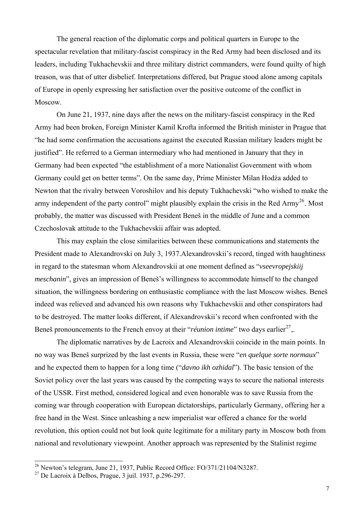The general reaction of the diplomatic corps and political quarters in Europe to the spectacular revelation that military-fascist conspiracy in the Red Army had been disclosed and its leaders, including Tukhachevskii and three military district commanders, were found quilty of high treason, was that of utter disbelief. Interpretations differed, but Prague stood alone among capitals of Europe in openly expressing her satisfaction over the positive outcome of the conflict in Moscow.

On June 21, 1937, nine days after the news on the military-fascist conspiracy in the Red Army had been broken, Foreign Minister Kamil Krofta informed the British minister in Prague that "he had some confirmation the accusations against the executed Russian military leaders might be justified". He referred to a German intermediary who had mentioned in January that they in Germany had been expected "the establishment of a more Nationalist Government with whom Germany could get on better terms". On the same day, Prime Minister Milan Hodża added to Newton that the rivalry between Voroshilov and his deputy Tukhachevski "who wished to make the army independent of the party control" might plausibly explain the crisis in the Red Army<sup>[26](#page-6-0)</sup>. Most probably, the matter was discussed with President Beneš in the middle of June and a common Czechoslovak attitude to the Tukhachevskii affair was adopted.

This may explain the close similarities between these communications and statements the President made to Alexandrovski on July 3, 1937.Alexandrovskii's record, tinged with haughtiness in regard to the statesman whom Alexandrovskii at one moment defined as "*vseevropejskiij meschanin*", gives an impression of Beneš's willingness to accommodate himself to the changed situation, the willingness bordering on enthusiastic compliance with the last Moscow wishes. Beneš indeed was relieved and advanced his own reasons why Tukhachevskii and other conspirators had to be destroyed. The matter looks different, if Alexandrovskii's record when confronted with the Beneš pronouncements to the French envoy at their "*réunion intime*" two days earlier<sup>[27](#page-6-1)</sup>,.

The diplomatic narratives by de Lacroix and Alexandrovskii coincide in the main points. In no way was Beneš surprized by the last events in Russia, these were "*en quelque sorte normaux*" and he expected them to happen for a long time ("*davno ikh ozhidal*"). The basic tension of the Soviet policy over the last years was caused by the competing ways to secure the national interests of the USSR. First method, considered logical and even honorable was to save Russia from the coming war through cooperation with European dictatorships, particularly Germany, offering her a free hand in the West. Since unleashing a new imperialist war offered a chance for the world revolution, this option could not but look quite legitimate for a military party in Moscow both from national and revolutionary viewpoint. Another approach was represented by the Stalinist regime

l

<span id="page-6-0"></span> $^{26}$  Newton's telegram, June 21, 1937, Public Record Office: FO/371/21104/N3287.

<span id="page-6-1"></span><sup>27</sup> De Lacroix à Delbos, Prague, 3 juil. 1937, p.296-297.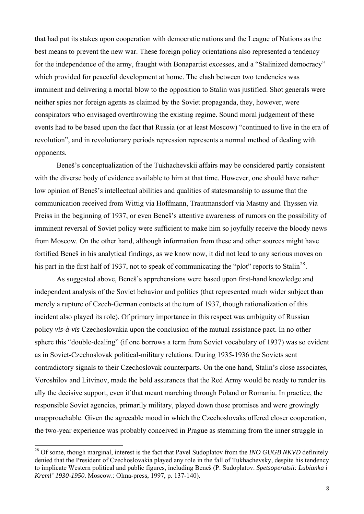that had put its stakes upon cooperation with democratic nations and the League of Nations as the best means to prevent the new war. These foreign policy orientations also represented a tendency for the independence of the army, fraught with Bonapartist excesses, and a "Stalinized democracy" which provided for peaceful development at home. The clash between two tendencies was imminent and delivering a mortal blow to the opposition to Stalin was justified. Shot generals were neither spies nor foreign agents as claimed by the Soviet propaganda, they, however, were conspirators who envisaged overthrowing the existing regime. Sound moral judgement of these events had to be based upon the fact that Russia (or at least Moscow) "continued to live in the era of revolution", and in revolutionary periods repression represents a normal method of dealing with opponents.

Beneš's conceptualization of the Tukhachevskii affairs may be considered partly consistent with the diverse body of evidence available to him at that time. However, one should have rather low opinion of Beneš's intellectual abilities and qualities of statesmanship to assume that the communication received from Wittig via Hoffmann, Trautmansdorf via Mastny and Thyssen via Preiss in the beginning of 1937, or even Beneš's attentive awareness of rumors on the possibility of imminent reversal of Soviet policy were sufficient to make him so joyfully receive the bloody news from Moscow. On the other hand, although information from these and other sources might have fortified Beneš in his analytical findings, as we know now, it did not lead to any serious moves on his part in the first half of 1937, not to speak of communicating the "plot" reports to Stalin<sup>[28](#page-7-0)</sup>.

As suggested above, Beneš's apprehensions were based upon first-hand knowledge and independent analysis of the Soviet behavior and politics (that represented much wider subject than merely a rupture of Czech-German contacts at the turn of 1937, though rationalization of this incident also played its role). Of primary importance in this respect was ambiguity of Russian policy *vis-à-vis* Czechoslovakia upon the conclusion of the mutual assistance pact. In no other sphere this "double-dealing" (if one borrows a term from Soviet vocabulary of 1937) was so evident as in Soviet-Czechoslovak political-military relations. During 1935-1936 the Soviets sent contradictory signals to their Czechoslovak counterparts. On the one hand, Stalin's close associates, Voroshilov and Litvinov, made the bold assurances that the Red Army would be ready to render its ally the decisive support, even if that meant marching through Poland or Romania. In practice, the responsible Soviet agencies, primarily military, played down those promises and were growingly unapproachable. Given the agreeable mood in which the Czechoslovaks offered closer cooperation, the two-year experience was probably conceived in Prague as stemming from the inner struggle in

<span id="page-7-0"></span><sup>&</sup>lt;sup>28</sup> Of some, though marginal, interest is the fact that Pavel Sudoplatov from the *INO GUGB NKVD* definitely denied that the President of Czechoslovakia played any role in the fall of Tukhachevsky, despite his tendency to implicate Western political and public figures, including Beneš (P. Sudoplatov. *Spetsoperatsii: Lubianka i Kreml' 1930-1950*. Moscow.: Olma-press, 1997, p. 137-140).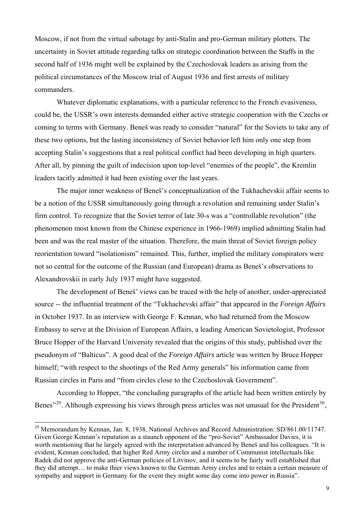Moscow, if not from the virtual sabotage by anti-Stalin and pro-German military plotters. The uncertainty in Soviet attitude regarding talks on strategic coordination between the Staffs in the second half of 1936 might well be explained by the Czechoslovak leaders as arising from the political circumstances of the Moscow trial of August 1936 and first arrests of military commanders.

Whatever diplomatic explanations, with a particular reference to the French evasiveness, could be, the USSR's own interests demanded either active strategic cooperation with the Czechs or coming to terms with Germany. Beneš was ready to consider "natural" for the Soviets to take any of these two options, but the lasting inconsistency of Soviet behavior left him only one step from accepting Stalin's suggestions that a real political conflict had been developing in high quarters. After all, by pinning the guilt of indecision upon top-level "enemies of the people", the Kremlin leaders tacitly admitted it had been existing over the last years.

The major inner weakness of Beneš's conceptualization of the Tukhachevskii affair seems to be a notion of the USSR simultaneously going through a revolution and remaining under Stalin's firm control. To recognize that the Soviet terror of late 30-s was a "controllable revolution" (the phenomenon most known from the Chinese experience in 1966-1969) implied admitting Stalin had been and was the real master of the situation. Therefore, the main threat of Soviet foreign policy reorientation toward "isolationism" remained. This, further, implied the military conspirators were not so central for the outcome of the Russian (and European) drama as Beneš's observations to Alexandrovskii in early July 1937 might have suggested.

The development of Beneš' views can be traced with the help of another, under-appreciated source -- the influential treatment of the "Tukhachevski affair" that appeared in the *Foreign Affairs* in October 1937. In an interview with George F. Kennan, who had returned from the Moscow Embassy to serve at the Division of European Affairs, a leading American Sovietologist, Professor Bruce Hopper of the Harvard University revealed that the origins of this study, published over the pseudonym of "Balticus". A good deal of the *Foreign Affairs* article was written by Bruce Hopper himself; "with respect to the shootings of the Red Army generals" his information came from Russian circles in Paris and "from circles close to the Czechoslovak Government".

According to Hopper, "the concluding paragraphs of the article had been written entirely by Benes<sup> $29$ </sup>. Although expressing his views through press articles was not unusual for the President<sup>[30](#page-8-1)</sup>,

<span id="page-8-1"></span><span id="page-8-0"></span> $^{29}$  Memorandum by Kennan, Jan. 8, 1938, National Archives and Record Administration: SD/861.00/11747. Given George Kennan's reputation as a staunch opponent of the "pro-Soviet" Ambassador Davies, it is worth mentioning that he largely agreed with the interpretation advanced by Beneš and his colleagues. "It is evident, Kennan concluded, that higher Red Army circles and a number of Communist intellectuals like Radek did not approve the anti-German policies of Litvinov, and it seems to be fairly well established that they did attempt… to make thier views known to the German Army circles and to retain a certain measure of sympathy and support in Germany for the event they might some day come into power in Russia".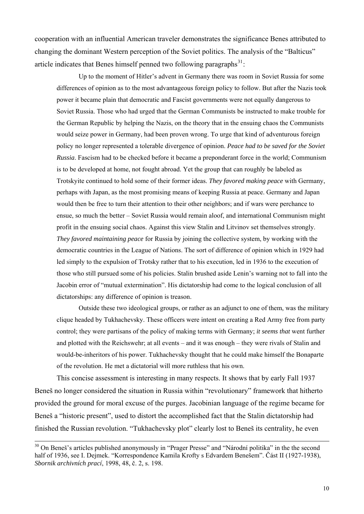cooperation with an influential American traveler demonstrates the significance Benes attributed to changing the dominant Western perception of the Soviet politics. The analysis of the "Balticus" article indicates that Benes himself penned two following paragraphs $^{31}$  $^{31}$  $^{31}$ :

Up to the moment of Hitler's advent in Germany there was room in Soviet Russia for some differences of opinion as to the most advantageous foreign policy to follow. But after the Nazis took power it became plain that democratic and Fascist governments were not equally dangerous to Soviet Russia. Those who had urged that the German Communists be instructed to make trouble for the German Republic by helping the Nazis, on the theory that in the ensuing chaos the Communists would seize power in Germany, had been proven wrong. To urge that kind of adventurous foreign policy no longer represented a tolerable divergence of opinion. *Peace had to be saved for the Soviet Russia*. Fascism had to be checked before it became a preponderant force in the world; Communism is to be developed at home, not fought abroad. Yet the group that can roughly be labeled as Trotskyite continued to hold some of their former ideas. *They favored making peace* with Germany, perhaps with Japan, as the most promising means of keeping Russia at peace. Germany and Japan would then be free to turn their attention to their other neighbors; and if wars were perchance to ensue, so much the better – Soviet Russia would remain aloof, and international Communism might profit in the ensuing social chaos. Against this view Stalin and Litvinov set themselves strongly. *They favored maintaining peace* for Russia by joining the collective system, by working with the democratic countries in the League of Nations. The sort of difference of opinion which in 1929 had led simply to the expulsion of Trotsky rather that to his execution, led in 1936 to the execution of those who still pursued some of his policies. Stalin brushed aside Lenin's warning not to fall into the Jacobin error of "mutual extermination". His dictatorship had come to the logical conclusion of all dictatorships: any difference of opinion is treason.

Outside these two ideological groups, or rather as an adjunct to one of them, was the military clique headed by Tukhachevsky. These officers were intent on creating a Red Army free from party control; they were partisans of the policy of making terms with Germany; *it seems that* went further and plotted with the Reichswehr; at all events – and it was enough – they were rivals of Stalin and would-be-inheritors of his power. Tukhachevsky thought that he could make himself the Bonaparte of the revolution. He met a dictatorial will more ruthless that his own.

<span id="page-9-0"></span>This concise assessment is interesting in many respects. It shows that by early Fall 1937 Beneš no longer considered the situation in Russia within "revolutionary" framework that hitherto provided the ground for moral excuse of the purges. Jacobinian language of the regime became for Beneš a "historic present", used to distort the accomplished fact that the Stalin dictatorship had finished the Russian revolution. "Tukhachevsky plot" clearly lost to Beneš its centrality, he even

 $30$  On Beneš's articles published anonymously in "Prager Presse" and "Národní politika" in the the second half of 1936, see I. Dejmek. "Korrespondence Kamila Krofty s Edvardem Benešem". Část II (1927-1938), *Sbornik archivních prací*, 1998, 48, č. 2, s. 198.